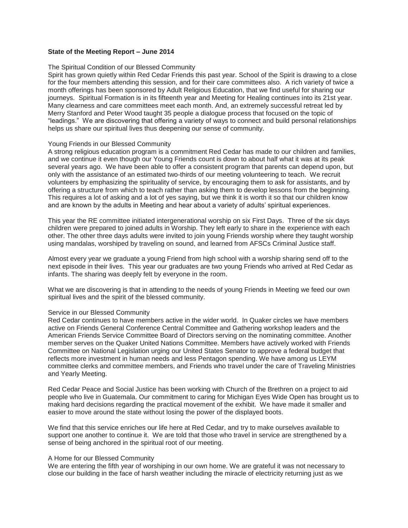# **State of the Meeting Report – June 2014**

### The Spiritual Condition of our Blessed Community

Spirit has grown quietly within Red Cedar Friends this past year. School of the Spirit is drawing to a close for the four members attending this session, and for their care committees also. A rich variety of twice a month offerings has been sponsored by Adult Religious Education, that we find useful for sharing our journeys. Spiritual Formation is in its fifteenth year and Meeting for Healing continues into its 21st year. Many clearness and care committees meet each month. And, an extremely successful retreat led by Merry Stanford and Peter Wood taught 35 people a dialogue process that focused on the topic of "leadings." We are discovering that offering a variety of ways to connect and build personal relationships helps us share our spiritual lives thus deepening our sense of community.

#### Young Friends in our Blessed Community

A strong religious education program is a commitment Red Cedar has made to our children and families, and we continue it even though our Young Friends count is down to about half what it was at its peak several years ago. We have been able to offer a consistent program that parents can depend upon, but only with the assistance of an estimated two-thirds of our meeting volunteering to teach. We recruit volunteers by emphasizing the spirituality of service, by encouraging them to ask for assistants, and by offering a structure from which to teach rather than asking them to develop lessons from the beginning. This requires a lot of asking and a lot of yes saying, but we think it is worth it so that our children know and are known by the adults in Meeting and hear about a variety of adults' spiritual experiences.

This year the RE committee initiated intergenerational worship on six First Days. Three of the six days children were prepared to joined adults in Worship. They left early to share in the experience with each other. The other three days adults were invited to join young Friends worship where they taught worship using mandalas, worshiped by traveling on sound, and learned from AFSCs Criminal Justice staff.

Almost every year we graduate a young Friend from high school with a worship sharing send off to the next episode in their lives. This year our graduates are two young Friends who arrived at Red Cedar as infants. The sharing was deeply felt by everyone in the room.

What we are discovering is that in attending to the needs of young Friends in Meeting we feed our own spiritual lives and the spirit of the blessed community.

#### Service in our Blessed Community

Red Cedar continues to have members active in the wider world. In Quaker circles we have members active on Friends General Conference Central Committee and Gathering workshop leaders and the American Friends Service Committee Board of Directors serving on the nominating committee. Another member serves on the Quaker United Nations Committee. Members have actively worked with Friends Committee on National Legislation urging our United States Senator to approve a federal budget that reflects more investment in human needs and less Pentagon spending. We have among us LEYM committee clerks and committee members, and Friends who travel under the care of Traveling Ministries and Yearly Meeting.

Red Cedar Peace and Social Justice has been working with Church of the Brethren on a project to aid people who live in Guatemala. Our commitment to caring for Michigan Eyes Wide Open has brought us to making hard decisions regarding the practical movement of the exhibit. We have made it smaller and easier to move around the state without losing the power of the displayed boots.

We find that this service enriches our life here at Red Cedar, and try to make ourselves available to support one another to continue it. We are told that those who travel in service are strengthened by a sense of being anchored in the spiritual root of our meeting.

## A Home for our Blessed Community

We are entering the fifth year of worshiping in our own home. We are grateful it was not necessary to close our building in the face of harsh weather including the miracle of electricity returning just as we